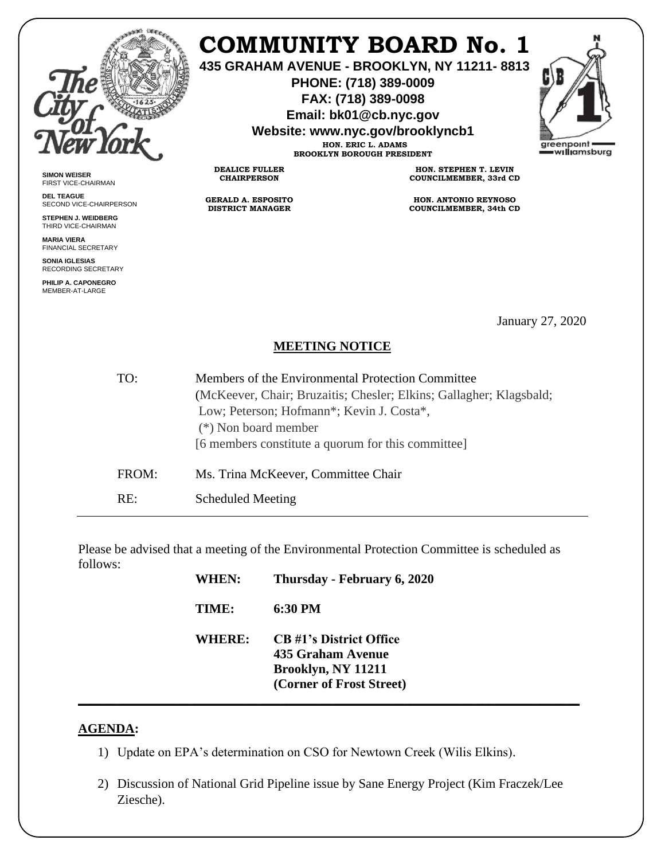

## **COMMUNITY BOARD No. 1**

**435 GRAHAM AVENUE - BROOKLYN, NY 11211- 8813**

**PHONE: (718) 389-0009 FAX: (718) 389-0098**

**Email: bk01@cb.nyc.gov**

**Website: www.nyc.gov/brooklyncb1**

**HON. ERIC L. ADAMS BROOKLYN BOROUGH PRESIDENT**

**DEALICE FULLER CHAIRPERSON**

**GERALD A. ESPOSITO DISTRICT MANAGER**

**HON. STEPHEN T. LEVIN COUNCILMEMBER, 33rd CD**

**HON. ANTONIO REYNOSO COUNCILMEMBER, 34th CD**

January 27, 2020

## **MEETING NOTICE**

| TO:   | Members of the Environmental Protection Committee<br>(McKeever, Chair; Bruzaitis; Chesler; Elkins; Gallagher; Klagsbald;<br>Low; Peterson; Hofmann*; Kevin J. Costa*,<br>$(*)$ Non board member<br>[6 members constitute a quorum for this committee] |
|-------|-------------------------------------------------------------------------------------------------------------------------------------------------------------------------------------------------------------------------------------------------------|
| FROM: | Ms. Trina McKeever, Committee Chair                                                                                                                                                                                                                   |
| RE:   | <b>Scheduled Meeting</b>                                                                                                                                                                                                                              |

Please be advised that a meeting of the Environmental Protection Committee is scheduled as follows:

| WHEN:         | Thursday - February 6, 2020                                                                           |
|---------------|-------------------------------------------------------------------------------------------------------|
| TIME:         | 6:30 PM                                                                                               |
| <b>WHERE:</b> | <b>CB</b> #1's District Office<br>435 Graham Avenue<br>Brooklyn, NY 11211<br>(Corner of Frost Street) |

## **AGENDA:**

- 1) Update on EPA's determination on CSO for Newtown Creek (Wilis Elkins).
- 2) Discussion of National Grid Pipeline issue by Sane Energy Project (Kim Fraczek/Lee Ziesche).



**SIMON WEISER** FIRST VICE-CHAIRMAN **DEL TEAGUE**

SECOND VICE-CHAIRPERSON

**STEPHEN J. WEIDBERG** THIRD VICE-CHAIRMAN **MARIA VIERA**

FINANCIAL SECRETARY **SONIA IGLESIAS**

RECORDING SECRETARY **PHILIP A. CAPONEGRO**

MEMBER-AT-LARGE